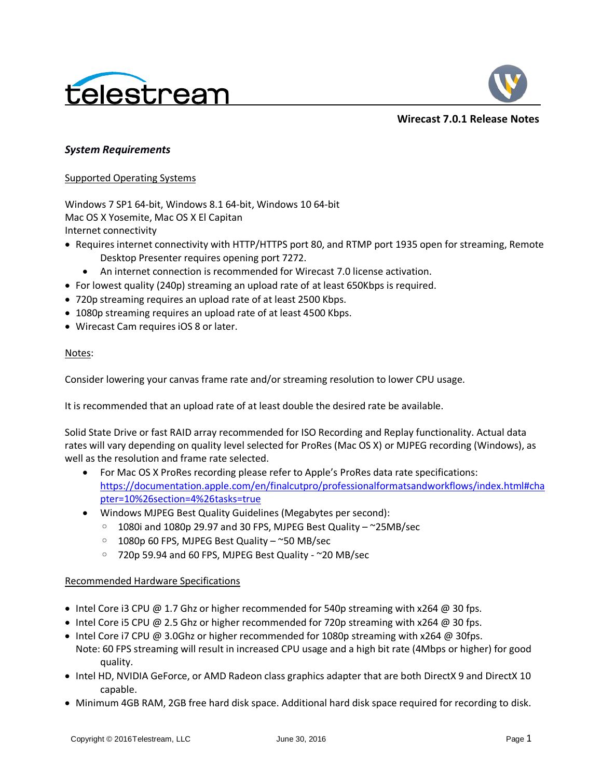



**Wirecast 7.0.1 Release Notes**

# *System Requirements*

## Supported Operating Systems

Windows 7 SP1 64-bit, Windows 8.1 64-bit, Windows 10 64-bit Mac OS X Yosemite, Mac OS X El Capitan Internet connectivity

- Requires internet connectivity with HTTP/HTTPS port 80, and RTMP port 1935 open for streaming, Remote Desktop Presenter requires opening port 7272.
	- An internet connection is recommended for Wirecast 7.0 license activation.
- For lowest quality (240p) streaming an upload rate of at least 650Kbps is required.
- 720p streaming requires an upload rate of at least 2500 Kbps.
- 1080p streaming requires an upload rate of at least 4500 Kbps.
- Wirecast Cam requires iOS 8 or later.

## Notes:

Consider lowering your canvas frame rate and/or streaming resolution to lower CPU usage.

It is recommended that an upload rate of at least double the desired rate be available.

Solid State Drive or fast RAID array recommended for ISO Recording and Replay functionality. Actual data rates will vary depending on quality level selected for ProRes (Mac OS X) or MJPEG recording (Windows), as well as the resolution and frame rate selected.

- For Mac OS X ProRes recording please refer to Apple's ProRes data rate specifications: [https://documentation.apple.com/en/finalcutpro/professionalformatsandworkflows/index.html#cha](https://documentation.apple.com/en/finalcutpro/professionalformatsandworkflows/index.html#chapter=10%26section=4%26tasks=true) [pter=10%26section=4%26tasks=true](https://documentation.apple.com/en/finalcutpro/professionalformatsandworkflows/index.html#chapter=10%26section=4%26tasks=true)
- Windows MJPEG Best Quality Guidelines (Megabytes per second):
	- $\degree$  1080i and 1080p 29.97 and 30 FPS, MJPEG Best Quality  $\degree$ 25MB/sec
	- 1080p 60 FPS, MJPEG Best Quality ~50 MB/sec
	- 720p 59.94 and 60 FPS, MJPEG Best Quality ~20 MB/sec

# Recommended Hardware Specifications

- Intel Core i3 CPU  $\omega$  1.7 Ghz or higher recommended for 540p streaming with x264  $\omega$  30 fps.
- Intel Core i5 CPU @ 2.5 Ghz or higher recommended for 720p streaming with x264 @ 30 fps.
- Intel Core i7 CPU @ 3.0Ghz or higher recommended for 1080p streaming with  $x264$  @ 30fps.
- Note: 60 FPS streaming will result in increased CPU usage and a high bit rate (4Mbps or higher) for good quality.
- Intel HD, NVIDIA GeForce, or AMD Radeon class graphics adapter that are both DirectX 9 and DirectX 10 capable.
- Minimum 4GB RAM, 2GB free hard disk space. Additional hard disk space required for recording to disk.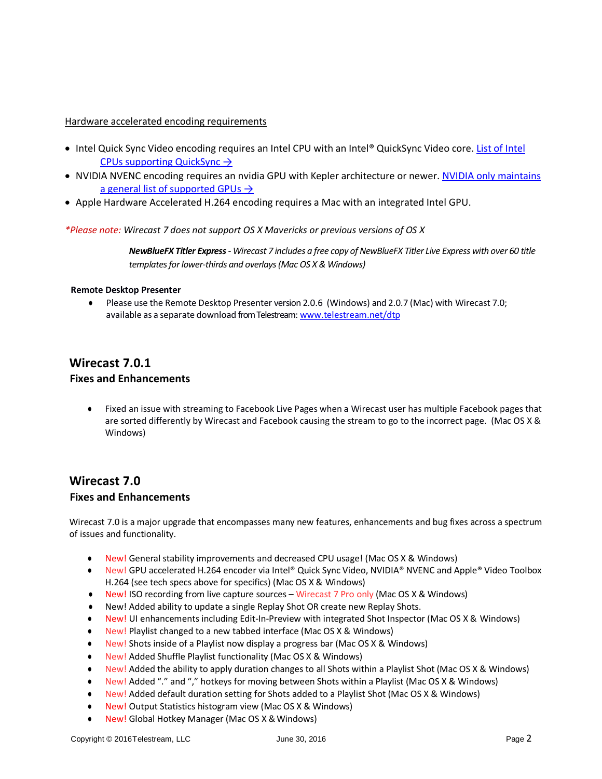## Hardware accelerated encoding requirements

- Intel Quick Sync Video encoding requires an Intel CPU with an Intel® QuickSync Video core. [List of Intel](http://ark.intel.com/search/advanced?QuickSyncVideo=true&MarketSegment=DT)  [CPUs supporting QuickSync](http://ark.intel.com/search/advanced?QuickSyncVideo=true&MarketSegment=DT)  $\rightarrow$
- NVIDIA NVENC encoding requires an nvidia GPU with Kepler architecture or newer. [NVIDIA only maintains](https://developer.nvidia.com/nvidia-video-codec-sdk#gpulist)  [a general list of supported GPUs](https://developer.nvidia.com/nvidia-video-codec-sdk#gpulist)  $\rightarrow$
- Apple Hardware Accelerated H.264 encoding requires a Mac with an integrated Intel GPU.

*\*Please note: Wirecast 7 does not support OS X Mavericks or previous versions of OS X*

*NewBlueFX Titler Express- Wirecast 7 includes a free copy of NewBlueFX Titler Live Express with over 60 title templates for lower-thirds and overlays (Mac OS X & Windows)*

#### **Remote Desktop Presenter**

**●** Please use the Remote Desktop Presenter version 2.0.6 (Windows) and 2.0.7 (Mac) with Wirecast 7.0; available as a separate download from Telestream: www.telestream.net/dtp

# **Wirecast 7.0.1 Fixes and Enhancements**

**●** Fixed an issue with streaming to Facebook Live Pages when a Wirecast user has multiple Facebook pages that are sorted differently by Wirecast and Facebook causing the stream to go to the incorrect page. (Mac OS X & Windows)

# **Wirecast 7.0**

# **Fixes and Enhancements**

Wirecast 7.0 is a major upgrade that encompasses many new features, enhancements and bug fixes across a spectrum of issues and functionality.

- **●** New! General stability improvements and decreased CPU usage! (Mac OS X & Windows)
- **●** New! GPU accelerated H.264 encoder via Intel® Quick Sync Video, NVIDIA® NVENC and Apple® Video Toolbox H.264 (see tech specs above for specifics) (Mac OS X & Windows)
- **●** New! ISO recording from live capture sources Wirecast 7 Pro only (Mac OS X & Windows)
- **●** New! Added ability to update a single Replay Shot OR create new Replay Shots.
- **●** New! UI enhancements including Edit-In-Preview with integrated Shot Inspector (Mac OS X & Windows)
- **●** New! Playlist changed to a new tabbed interface (Mac OS X & Windows)
- **●** New! Shots inside of a Playlist now display a progress bar (Mac OS X & Windows)
- **●** New! Added Shuffle Playlist functionality (Mac OS X & Windows)
- **●** New! Added the ability to apply duration changes to all Shots within a Playlist Shot (Mac OS X & Windows)
- **●** New! Added "." and "," hotkeys for moving between Shots within a Playlist (Mac OS X & Windows)
- **●** New! Added default duration setting for Shots added to a Playlist Shot (Mac OS X & Windows)
- **●** New! Output Statistics histogram view (Mac OS X & Windows)
- **New! Global Hotkey Manager (Mac OS X & Windows)**